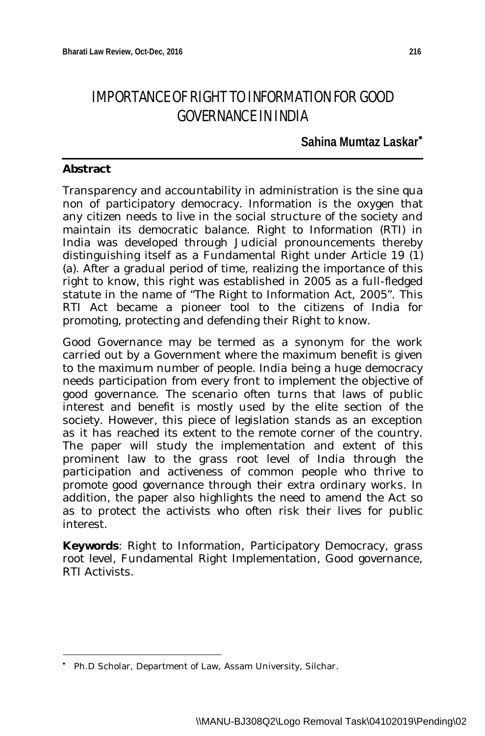# IMPORTANCE OF RIGHT TO INFORMATION FOR GOOD GOVERNANCE IN INDIA

# **Sahina Mumtaz Laskar**

# **Abstract**

Transparency and accountability in administration is the sine qua non of participatory democracy. Information is the oxygen that any citizen needs to live in the social structure of the society and maintain its democratic balance. Right to Information (RTI) in India was developed through Judicial pronouncements thereby distinguishing itself as a Fundamental Right under Article 19 (1) (a). After a gradual period of time, realizing the importance of this right to know, this right was established in 2005 as a full-fledged statute in the name of "The Right to Information Act, 2005". This RTI Act became a pioneer tool to the citizens of India for promoting, protecting and defending their Right to know.

Good Governance may be termed as a synonym for the work carried out by a Government where the maximum benefit is given to the maximum number of people. India being a huge democracy needs participation from every front to implement the objective of good governance. The scenario often turns that laws of public interest and benefit is mostly used by the elite section of the society. However, this piece of legislation stands as an exception as it has reached its extent to the remote corner of the country. The paper will study the implementation and extent of this prominent law to the grass root level of India through the participation and activeness of common people who thrive to promote good governance through their extra ordinary works. In addition, the paper also highlights the need to amend the Act so as to protect the activists who often risk their lives for public interest.

**Keywords**: Right to Information, Participatory Democracy, grass root level, Fundamental Right Implementation, Good governance, RTI Activists.

 $\overline{\phantom{a}}$ ٠ Ph.D Scholar, Department of Law, Assam University, Silchar.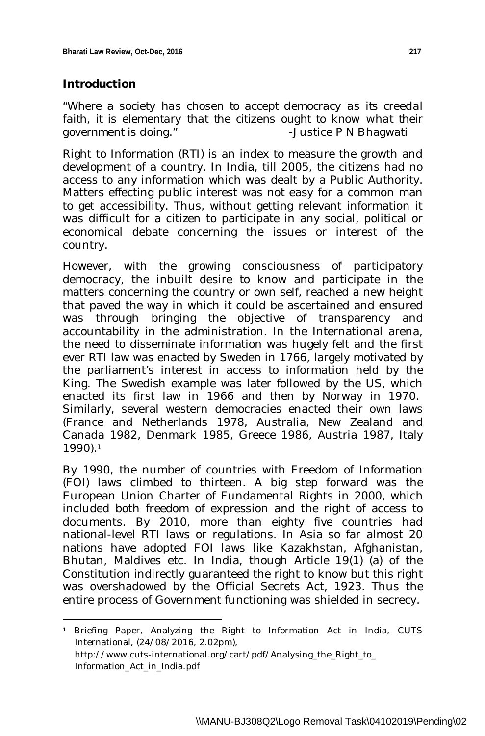### **Introduction**

*"Where a society has chosen to accept democracy as its creedal faith, it is elementary that the citizens ought to know what their government is doing."* -Justice P N Bhagwati

Right to Information (RTI) is an index to measure the growth and development of a country. In India, till 2005, the citizens had no access to any information which was dealt by a Public Authority. Matters effecting public interest was not easy for a common man to get accessibility. Thus, without getting relevant information it was difficult for a citizen to participate in any social, political or economical debate concerning the issues or interest of the country.

However, with the growing consciousness of participatory democracy, the inbuilt desire to know and participate in the matters concerning the country or own self, reached a new height that paved the way in which it could be ascertained and ensured was through bringing the objective of transparency and accountability in the administration. In the International arena, the need to disseminate information was hugely felt and the first ever RTI law was enacted by Sweden in 1766, largely motivated by the parliament's interest in access to information held by the King. The Swedish example was later followed by the US, which enacted its first law in 1966 and then by Norway in 1970. Similarly, several western democracies enacted their own laws (France and Netherlands 1978, Australia, New Zealand and Canada 1982, Denmark 1985, Greece 1986, Austria 1987, Italy 1990).<sup>1</sup>

By 1990, the number of countries with Freedom of Information (FOI) laws climbed to thirteen. A big step forward was the European Union Charter of Fundamental Rights in 2000, which included both freedom of expression and the right of access to documents. By 2010, more than eighty five countries had national-level RTI laws or regulations. In Asia so far almost 20 nations have adopted FOI laws like Kazakhstan, Afghanistan, Bhutan, Maldives etc. In India, though Article 19(1) (a) of the Constitution indirectly guaranteed the right to know but this right was overshadowed by the Official Secrets Act, 1923. Thus the entire process of Government functioning was shielded in secrecy.

 $\overline{\phantom{a}}$ **<sup>1</sup>** Briefing Paper, Analyzing the Right to Information Act in India, CUTS International, (24/08/2016, 2.02pm), http://www.cuts-international.org/cart/pdf/Analysing\_the\_Right\_to Information\_Act\_in\_India.pdf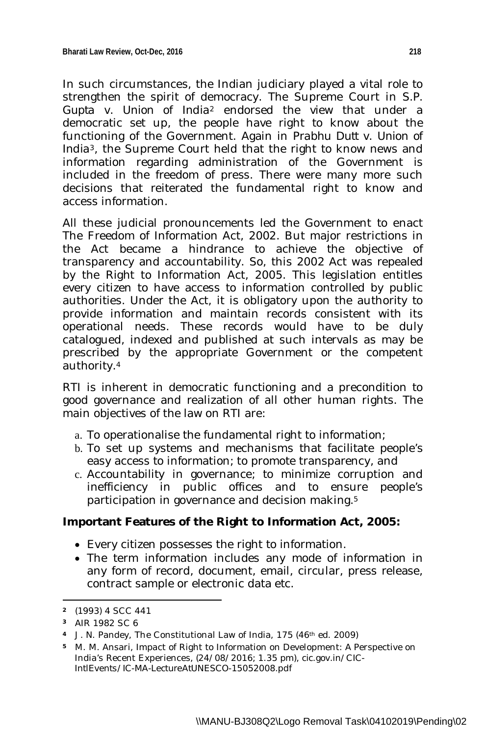In such circumstances, the Indian judiciary played a vital role to strengthen the spirit of democracy. The Supreme Court in *S.P. Gupta* v. *Union of India<sup>2</sup>* endorsed the view that under a democratic set up, the people have right to know about the functioning of the Government. Again in *Prabhu Dutt* v*. Union of India*3, the Supreme Court held that the right to know news and information regarding administration of the Government is included in the freedom of press. There were many more such decisions that reiterated the fundamental right to know and access information.

All these judicial pronouncements led the Government to enact The Freedom of Information Act, 2002. But major restrictions in the Act became a hindrance to achieve the objective of transparency and accountability. So, this 2002 Act was repealed by the Right to Information Act, 2005. This legislation entitles every citizen to have access to information controlled by public authorities. Under the Act, it is obligatory upon the authority to provide information and maintain records consistent with its operational needs. These records would have to be duly catalogued, indexed and published at such intervals as may be prescribed by the appropriate Government or the competent authority.<sup>4</sup>

RTI is inherent in democratic functioning and a precondition to good governance and realization of all other human rights. The main objectives of the law on RTI are:

- a. To operationalise the fundamental right to information;
- b. To set up systems and mechanisms that facilitate people's easy access to information; to promote transparency, and
- c. Accountability in governance; to minimize corruption and inefficiency in public offices and to ensure people's participation in governance and decision making.<sup>5</sup>

# **Important Features of the Right to Information Act, 2005:**

- Every citizen possesses the right to information.
- The term information includes any mode of information in any form of record, document, email, circular, press release, contract sample or electronic data etc.

**<sup>2</sup>** (1993) 4 SCC 441

**<sup>3</sup>** AIR 1982 SC 6

**<sup>4</sup>** J. N. Pandey, The Constitutional Law of India, 175 (46th ed. 2009)

**<sup>5</sup>** M. M. Ansari, Impact of Right to Information on Development: A Perspective on India's Recent Experiences, *(24/08/2016;* 1.35 pm), *cic.gov.in/CIC-IntlEvents/IC-MA-LectureAtUNESCO-15052008.pdf*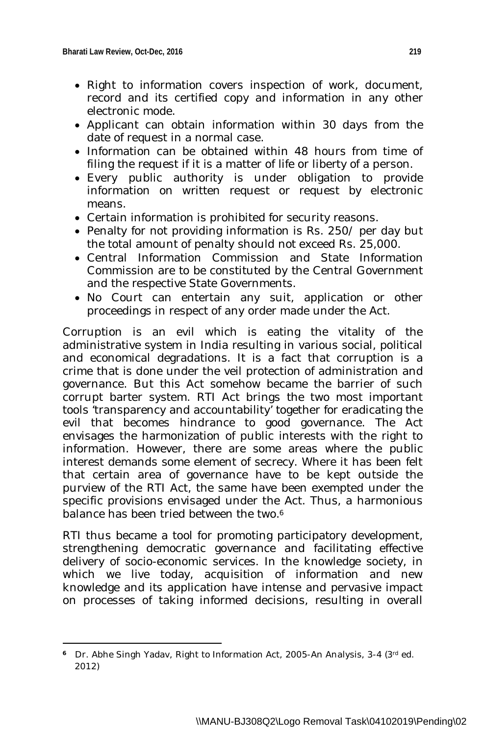- Right to information covers inspection of work, document, record and its certified copy and information in any other electronic mode.
- Applicant can obtain information within 30 days from the date of request in a normal case.
- Information can be obtained within 48 hours from time of filing the request if it is a matter of life or liberty of a person.
- Every public authority is under obligation to provide information on written request or request by electronic means.
- Certain information is prohibited for security reasons.
- Penalty for not providing information is Rs. 250/ per day but the total amount of penalty should not exceed Rs. 25,000.
- Central Information Commission and State Information Commission are to be constituted by the Central Government and the respective State Governments.
- No Court can entertain any suit, application or other proceedings in respect of any order made under the Act.

Corruption is an evil which is eating the vitality of the administrative system in India resulting in various social, political and economical degradations. It is a fact that corruption is a crime that is done under the veil protection of administration and governance. But this Act somehow became the barrier of such corrupt barter system. RTI Act brings the two most important tools 'transparency and accountability' together for eradicating the evil that becomes hindrance to good governance. The Act envisages the harmonization of public interests with the right to information. However, there are some areas where the public interest demands some element of secrecy. Where it has been felt that certain area of governance have to be kept outside the purview of the RTI Act, the same have been exempted under the specific provisions envisaged under the Act. Thus, a harmonious balance has been tried between the two.<sup>6</sup>

RTI thus became a tool for promoting participatory development, strengthening democratic governance and facilitating effective delivery of socio-economic services. In the knowledge society, in which we live today, acquisition of information and new knowledge and its application have intense and pervasive impact on processes of taking informed decisions, resulting in overall

 $\overline{a}$ <sup>6</sup> Dr. Abhe Singh Yadav, Right to Information Act, 2005-An Analysis, 3-4 (3<sup>rd</sup> ed. 2012)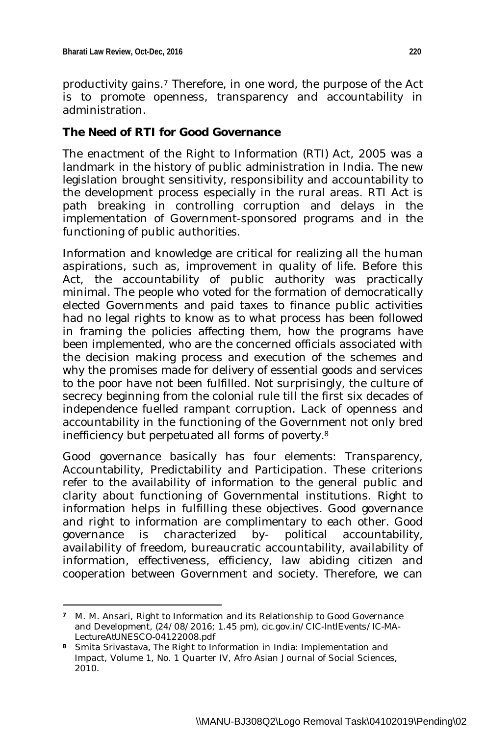$\overline{\phantom{a}}$ 

productivity gains.<sup>7</sup> Therefore, in one word, the purpose of the Act is to promote openness, transparency and accountability in administration.

## **The Need of RTI for Good Governance**

The enactment of the Right to Information (RTI) Act, 2005 was a landmark in the history of public administration in India. The new legislation brought sensitivity, responsibility and accountability to the development process especially in the rural areas. RTI Act is path breaking in controlling corruption and delays in the implementation of Government-sponsored programs and in the functioning of public authorities.

Information and knowledge are critical for realizing all the human aspirations, such as, improvement in quality of life. Before this Act, the accountability of public authority was practically minimal. The people who voted for the formation of democratically elected Governments and paid taxes to finance public activities had no legal rights to know as to what process has been followed in framing the policies affecting them, how the programs have been implemented, who are the concerned officials associated with the decision making process and execution of the schemes and why the promises made for delivery of essential goods and services to the poor have not been fulfilled. Not surprisingly, the culture of secrecy beginning from the colonial rule till the first six decades of independence fuelled rampant corruption. Lack of openness and accountability in the functioning of the Government not only bred inefficiency but perpetuated all forms of poverty.<sup>8</sup>

Good governance basically has four elements: Transparency, Accountability, Predictability and Participation. These criterions refer to the availability of information to the general public and clarity about functioning of Governmental institutions. Right to information helps in fulfilling these objectives. Good governance and right to information are complimentary to each other. Good governance is characterized by- political accountability, availability of freedom, bureaucratic accountability, availability of information, effectiveness, efficiency, law abiding citizen and cooperation between Government and society. Therefore, we can

**<sup>7</sup>** M. M. Ansari, Right to Information and its Relationship to Good Governance and Development, *(24/08/2016;* 1.45 pm), *cic.gov.in/CIC-IntlEvents/IC-MA-LectureAtUNESCO-04122008.pdf* 

**<sup>8</sup>** Smita Srivastava*,* The Right to Information in India: Implementation and Impact, Volume 1, No. 1 Quarter IV, Afro Asian Journal of Social Sciences, 2010.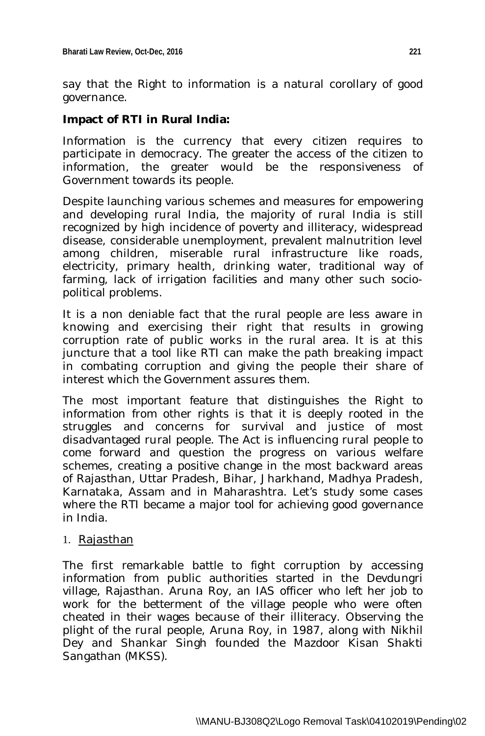say that the Right to information is a natural corollary of good governance.

## **Impact of RTI in Rural India:**

Information is the currency that every citizen requires to participate in democracy. The greater the access of the citizen to information, the greater would be the responsiveness of Government towards its people.

Despite launching various schemes and measures for empowering and developing rural India, the majority of rural India is still recognized by high incidence of poverty and illiteracy, widespread disease, considerable unemployment, prevalent malnutrition level among children, miserable rural infrastructure like roads, electricity, primary health, drinking water, traditional way of farming, lack of irrigation facilities and many other such sociopolitical problems.

It is a non deniable fact that the rural people are less aware in knowing and exercising their right that results in growing corruption rate of public works in the rural area. It is at this juncture that a tool like RTI can make the path breaking impact in combating corruption and giving the people their share of interest which the Government assures them.

The most important feature that distinguishes the Right to information from other rights is that it is deeply rooted in the struggles and concerns for survival and justice of most disadvantaged rural people. The Act is influencing rural people to come forward and question the progress on various welfare schemes, creating a positive change in the most backward areas of Rajasthan, Uttar Pradesh, Bihar, Jharkhand, Madhya Pradesh, Karnataka, Assam and in Maharashtra. Let's study some cases where the RTI became a major tool for achieving good governance in India.

#### 1. Rajasthan

The first remarkable battle to fight corruption by accessing information from public authorities started in the Devdungri village, Rajasthan. Aruna Roy, an IAS officer who left her job to work for the betterment of the village people who were often cheated in their wages because of their illiteracy. Observing the plight of the rural people, Aruna Roy, in 1987, along with Nikhil Dey and Shankar Singh founded the Mazdoor Kisan Shakti Sangathan (MKSS).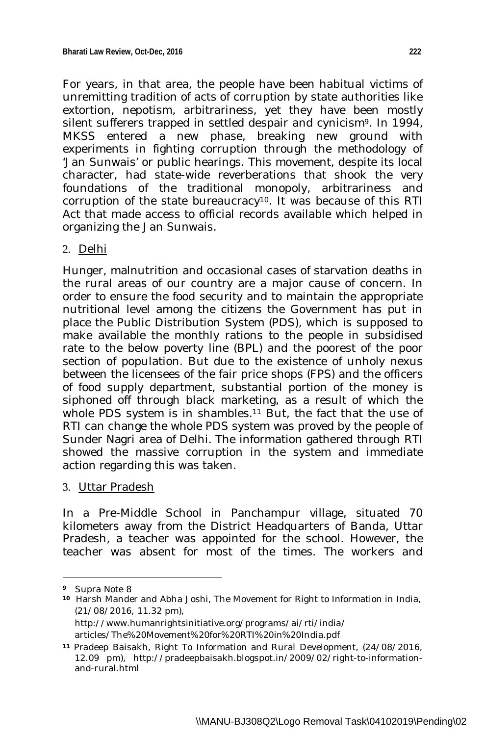For years, in that area, the people have been habitual victims of unremitting tradition of acts of corruption by state authorities like extortion, nepotism, arbitrariness, yet they have been mostly silent sufferers trapped in settled despair and cynicism<sup>9</sup>. In 1994, MKSS entered a new phase, breaking new ground with experiments in fighting corruption through the methodology of 'Jan Sunwais' or public hearings. This movement, despite its local character, had state-wide reverberations that shook the very foundations of the traditional monopoly, arbitrariness and corruption of the state bureaucracy<sup>10</sup>. It was because of this RTI Act that made access to official records available which helped in organizing the Jan Sunwais.

#### 2. Delhi

Hunger, malnutrition and occasional cases of starvation deaths in the rural areas of our country are a major cause of concern. In order to ensure the food security and to maintain the appropriate nutritional level among the citizens the Government has put in place the Public Distribution System (PDS), which is supposed to make available the monthly rations to the people in subsidised rate to the below poverty line (BPL) and the poorest of the poor section of population. But due to the existence of unholy nexus between the licensees of the fair price shops (FPS) and the officers of food supply department, substantial portion of the money is siphoned off through black marketing, as a result of which the whole PDS system is in shambles.<sup>11</sup> But, the fact that the use of RTI can change the whole PDS system was proved by the people of Sunder Nagri area of Delhi. The information gathered through RTI showed the massive corruption in the system and immediate action regarding this was taken.

3. Uttar Pradesh

In a Pre-Middle School in Panchampur village, situated 70 kilometers away from the District Headquarters of Banda, Uttar Pradesh, a teacher was appointed for the school. However, the teacher was absent for most of the times. The workers and

**<sup>9</sup>** Supra Note 8

**<sup>10</sup>** Harsh Mander and Abha Joshi, The Movement for Right to Information in India, (21/08/2016, 11.32 pm), http://www.humanrightsinitiative.org/programs/ai/rti/india/ articles/The%20Movement%20for%20RTI%20in%20India.pdf

**<sup>11</sup>** Pradeep Baisakh, Right To Information and Rural Development, (24/08/2016, 12.09 pm), http://pradeepbaisakh.blogspot.in/2009/02/right-to-informationand-rural.html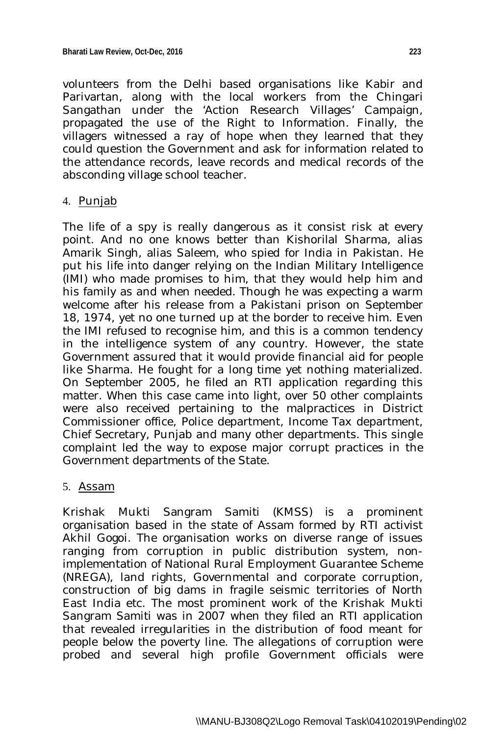volunteers from the Delhi based organisations like Kabir and Parivartan, along with the local workers from the Chingari Sangathan under the 'Action Research Villages' Campaign, propagated the use of the Right to Information. Finally, the villagers witnessed a ray of hope when they learned that they could question the Government and ask for information related to the attendance records, leave records and medical records of the absconding village school teacher.

#### 4. Punjab

The life of a spy is really dangerous as it consist risk at every point. And no one knows better than Kishorilal Sharma, alias Amarik Singh, alias Saleem, who spied for India in Pakistan. He put his life into danger relying on the Indian Military Intelligence (IMI) who made promises to him, that they would help him and his family as and when needed. Though he was expecting a warm welcome after his release from a Pakistani prison on September 18, 1974, yet no one turned up at the border to receive him. Even the IMI refused to recognise him, and this is a common tendency in the intelligence system of any country. However, the state Government assured that it would provide financial aid for people like Sharma. He fought for a long time yet nothing materialized. On September 2005, he filed an RTI application regarding this matter. When this case came into light, over 50 other complaints were also received pertaining to the malpractices in District Commissioner office, Police department, Income Tax department, Chief Secretary, Punjab and many other departments. This single complaint led the way to expose major corrupt practices in the Government departments of the State.

### 5. Assam

Krishak Mukti Sangram Samiti (KMSS) is a prominent organisation based in the state of Assam formed by RTI activist Akhil Gogoi. The organisation works on diverse range of issues ranging from corruption in public distribution system, nonimplementation of National Rural Employment Guarantee Scheme (NREGA), land rights, Governmental and corporate corruption, construction of big dams in fragile seismic territories of North East India etc. The most prominent work of the Krishak Mukti Sangram Samiti was in 2007 when they filed an RTI application that revealed irregularities in the distribution of food meant for people below the poverty line. The allegations of corruption were probed and several high profile Government officials were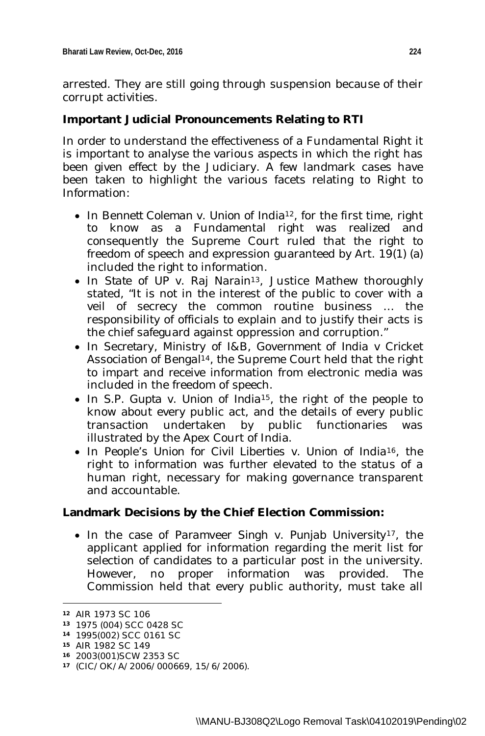arrested. They are still going through suspension because of their corrupt activities.

## **Important Judicial Pronouncements Relating to RTI**

In order to understand the effectiveness of a Fundamental Right it is important to analyse the various aspects in which the right has been given effect by the Judiciary. A few landmark cases have been taken to highlight the various facets relating to Right to Information:

- In *Bennett Coleman* v. *Union of India12,* for the first time, right to know as a Fundamental right was realized and consequently the Supreme Court ruled that the right to freedom of speech and expression guaranteed by Art. 19(1) (a) included the right to information.
- In *State of UP* v. *Raj Narain13*, Justice Mathew thoroughly stated, "It is not in the interest of the public to cover with a veil of secrecy the common routine business … the responsibility of officials to explain and to justify their acts is the chief safeguard against oppression and corruption."
- In *Secretary, Ministry of I&B, Government of India* v *Cricket Association of Bengal14,* the Supreme Court held that the right to impart and receive information from electronic media was included in the freedom of speech.
- In *S.P. Gupta* v. *Union of India15*, the right of the people to know about every public act, and the details of every public transaction undertaken by public functionaries was illustrated by the Apex Court of India.
- In *People's Union for Civil Liberties* v. *Union of India16*, the right to information was further elevated to the status of a human right, necessary for making governance transparent and accountable.

### **Landmark Decisions by the Chief Election Commission:**

 In the case of *Paramveer Singh* v. *Punjab University17*, the applicant applied for information regarding the merit list for selection of candidates to a particular post in the university. However, no proper information was provided. The Commission held that every public authority, must take all

 $\overline{\phantom{a}}$ 

**<sup>12</sup>** AIR 1973 SC 106

**<sup>13</sup>** 1975 (004) SCC 0428 SC

**<sup>14</sup>** 1995(002) SCC 0161 SC

**<sup>15</sup>** AIR 1982 SC 149

**<sup>16</sup>** 2003(001)SCW 2353 SC

**<sup>17</sup>** (CIC/OK/A/2006/000669, 15/6/2006).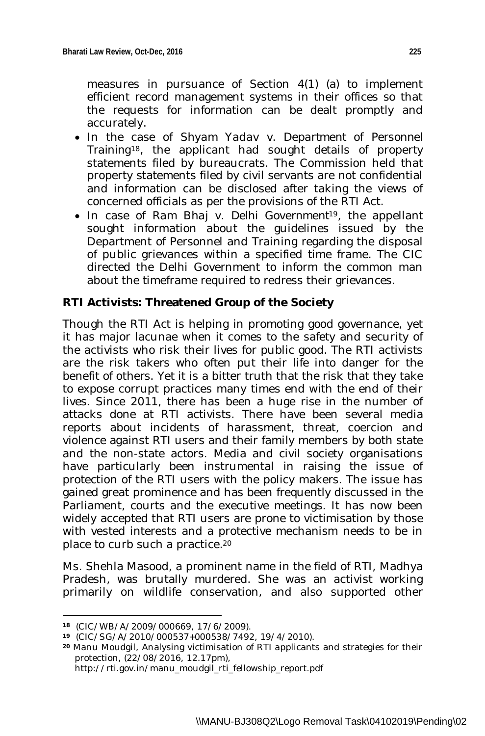measures in pursuance of Section 4(1) (a) to implement efficient record management systems in their offices so that the requests for information can be dealt promptly and accurately.

- In the case of *Shyam Yadav* v. *Department of Personnel Training*18, the applicant had sought details of property statements filed by bureaucrats. The Commission held that property statements filed by civil servants are not confidential and information can be disclosed after taking the views of concerned officials as per the provisions of the RTI Act.
- In case of *Ram Bhaj* v*. Delhi Government*19, the appellant sought information about the guidelines issued by the Department of Personnel and Training regarding the disposal of public grievances within a specified time frame. The CIC directed the Delhi Government to inform the common man about the timeframe required to redress their grievances.

# **RTI Activists: Threatened Group of the Society**

Though the RTI Act is helping in promoting good governance, yet it has major lacunae when it comes to the safety and security of the activists who risk their lives for public good. The RTI activists are the risk takers who often put their life into danger for the benefit of others. Yet it is a bitter truth that the risk that they take to expose corrupt practices many times end with the end of their lives. Since 2011, there has been a huge rise in the number of attacks done at RTI activists. There have been several media reports about incidents of harassment, threat, coercion and violence against RTI users and their family members by both state and the non-state actors. Media and civil society organisations have particularly been instrumental in raising the issue of protection of the RTI users with the policy makers. The issue has gained great prominence and has been frequently discussed in the Parliament, courts and the executive meetings. It has now been widely accepted that RTI users are prone to victimisation by those with vested interests and a protective mechanism needs to be in place to curb such a practice.<sup>20</sup>

Ms. Shehla Masood, a prominent name in the field of RTI, Madhya Pradesh, was brutally murdered. She was an activist working primarily on wildlife conservation, and also supported other

**<sup>18</sup>** (CIC/WB/A/2009/000669, 17/6/2009).

**<sup>19</sup>** (CIC/SG/A/2010/000537+000538/7492, 19/4/2010).

**<sup>20</sup>** Manu Moudgil, Analysing victimisation of RTI applicants and strategies for their protection, (22/08/2016, 12.17pm),

http://rti.gov.in/manu\_moudgil\_rti\_fellowship\_report.pdf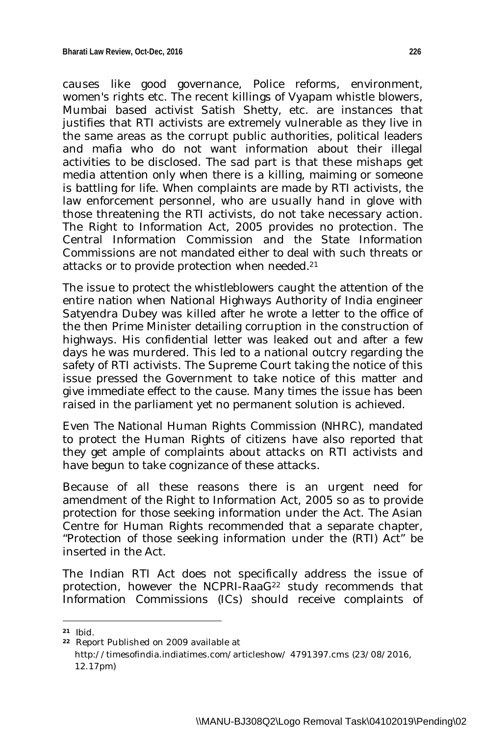causes like good governance, Police reforms, environment, women's rights etc. The recent killings of Vyapam whistle blowers, Mumbai based activist Satish Shetty, etc. are instances that justifies that RTI activists are extremely vulnerable as they live in the same areas as the corrupt public authorities, political leaders and mafia who do not want information about their illegal activities to be disclosed. The sad part is that these mishaps get media attention only when there is a killing, maiming or someone is battling for life. When complaints are made by RTI activists, the law enforcement personnel, who are usually hand in glove with those threatening the RTI activists, do not take necessary action. The Right to Information Act, 2005 provides no protection. The Central Information Commission and the State Information Commissions are not mandated either to deal with such threats or attacks or to provide protection when needed.<sup>21</sup>

The issue to protect the whistleblowers caught the attention of the entire nation when National Highways Authority of India engineer Satyendra Dubey was killed after he wrote a letter to the office of the then Prime Minister detailing corruption in the construction of highways. His confidential letter was leaked out and after a few days he was murdered. This led to a national outcry regarding the safety of RTI activists. The Supreme Court taking the notice of this issue pressed the Government to take notice of this matter and give immediate effect to the cause. Many times the issue has been raised in the parliament yet no permanent solution is achieved.

Even The National Human Rights Commission (NHRC), mandated to protect the Human Rights of citizens have also reported that they get ample of complaints about attacks on RTI activists and have begun to take cognizance of these attacks.

Because of all these reasons there is an urgent need for amendment of the Right to Information Act, 2005 so as to provide protection for those seeking information under the Act. The Asian Centre for Human Rights recommended that a separate chapter, "Protection of those seeking information under the (RTI) Act" be inserted in the Act.

The Indian RTI Act does not specifically address the issue of protection, however the NCPRI-RaaG<sup>22</sup> study recommends that Information Commissions (ICs) should receive complaints of

 $\overline{\phantom{a}}$ 

**<sup>21</sup>** *Ibid.*

**<sup>22</sup>** Report Published on 2009 available at http://timesofindia.indiatimes.com/articleshow/ 4791397.cms (23/08/2016, 12.17pm)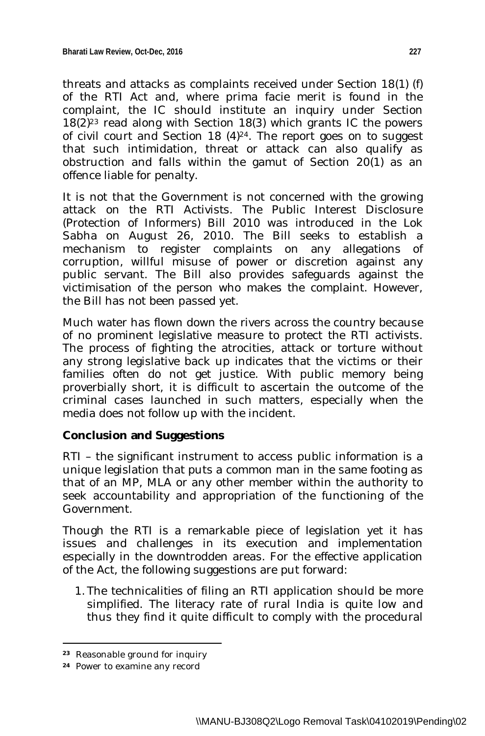threats and attacks as complaints received under Section 18(1) (f) of the RTI Act and, where prima facie merit is found in the complaint, the IC should institute an inquiry under Section 18(2)<sup>23</sup> read along with Section 18(3) which grants IC the powers of civil court and Section 18 (4)24. The report goes on to suggest that such intimidation, threat or attack can also qualify as obstruction and falls within the gamut of Section 20(1) as an offence liable for penalty.

It is not that the Government is not concerned with the growing attack on the RTI Activists. The Public Interest Disclosure (Protection of Informers) Bill 2010 was introduced in the Lok Sabha on August 26, 2010. The Bill seeks to establish a mechanism to register complaints on any allegations of corruption, willful misuse of power or discretion against any public servant. The Bill also provides safeguards against the victimisation of the person who makes the complaint. However, the Bill has not been passed yet.

Much water has flown down the rivers across the country because of no prominent legislative measure to protect the RTI activists. The process of fighting the atrocities, attack or torture without any strong legislative back up indicates that the victims or their families often do not get justice. With public memory being proverbially short, it is difficult to ascertain the outcome of the criminal cases launched in such matters, especially when the media does not follow up with the incident.

### **Conclusion and Suggestions**

RTI – the significant instrument to access public information is a unique legislation that puts a common man in the same footing as that of an MP, MLA or any other member within the authority to seek accountability and appropriation of the functioning of the Government.

Though the RTI is a remarkable piece of legislation yet it has issues and challenges in its execution and implementation especially in the downtrodden areas. For the effective application of the Act, the following suggestions are put forward:

1. The technicalities of filing an RTI application should be more simplified. The literacy rate of rural India is quite low and thus they find it quite difficult to comply with the procedural

**<sup>23</sup>** Reasonable ground for inquiry

**<sup>24</sup>** Power to examine any record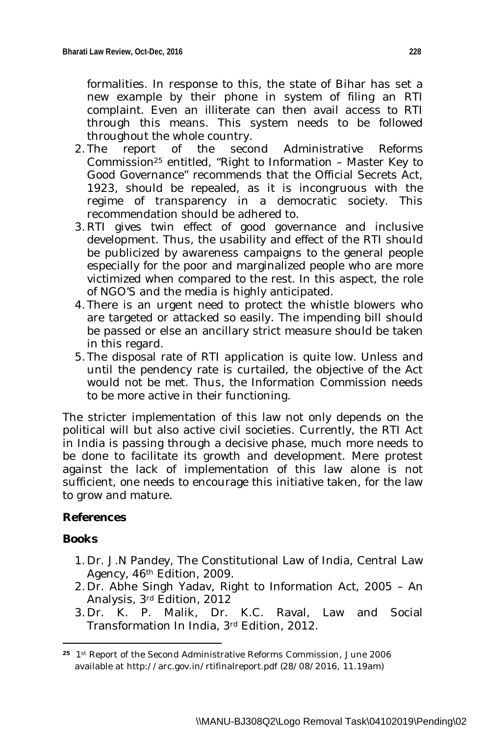formalities. In response to this, the state of Bihar has set a new example by their phone in system of filing an RTI complaint. Even an illiterate can then avail access to RTI through this means. This system needs to be followed throughout the whole country.

- 2. The report of the second Administrative Reforms Commission<sup>25</sup> entitled, "Right to Information – Master Key to Good Governance" recommends that the Official Secrets Act, 1923, should be repealed, as it is incongruous with the regime of transparency in a democratic society. This recommendation should be adhered to.
- 3. RTI gives twin effect of good governance and inclusive development. Thus, the usability and effect of the RTI should be publicized by awareness campaigns to the general people especially for the poor and marginalized people who are more victimized when compared to the rest. In this aspect, the role of NGO'S and the media is highly anticipated.
- 4. There is an urgent need to protect the whistle blowers who are targeted or attacked so easily. The impending bill should be passed or else an ancillary strict measure should be taken in this regard.
- 5. The disposal rate of RTI application is quite low. Unless and until the pendency rate is curtailed, the objective of the Act would not be met. Thus, the Information Commission needs to be more active in their functioning.

The stricter implementation of this law not only depends on the political will but also active civil societies. Currently, the RTI Act in India is passing through a decisive phase, much more needs to be done to facilitate its growth and development. Mere protest against the lack of implementation of this law alone is not sufficient, one needs to encourage this initiative taken, for the law to grow and mature.

# **References**

### *Books*

- 1. Dr. J.N Pandey, The Constitutional Law of India, Central Law Agency, 46th Edition, 2009.
- 2. Dr. Abhe Singh Yadav, Right to Information Act, 2005 An Analysis, 3rd Edition, 2012
- 3. Dr. K. P. Malik, Dr. K.C. Raval, Law and Social Transformation In India, 3rd Edition, 2012.

 $\overline{a}$ **<sup>25</sup>** 1st Report of the Second Administrative Reforms Commission, June 2006 available at http://arc.gov.in/rtifinalreport.pdf (28/08/2016, 11.19am)